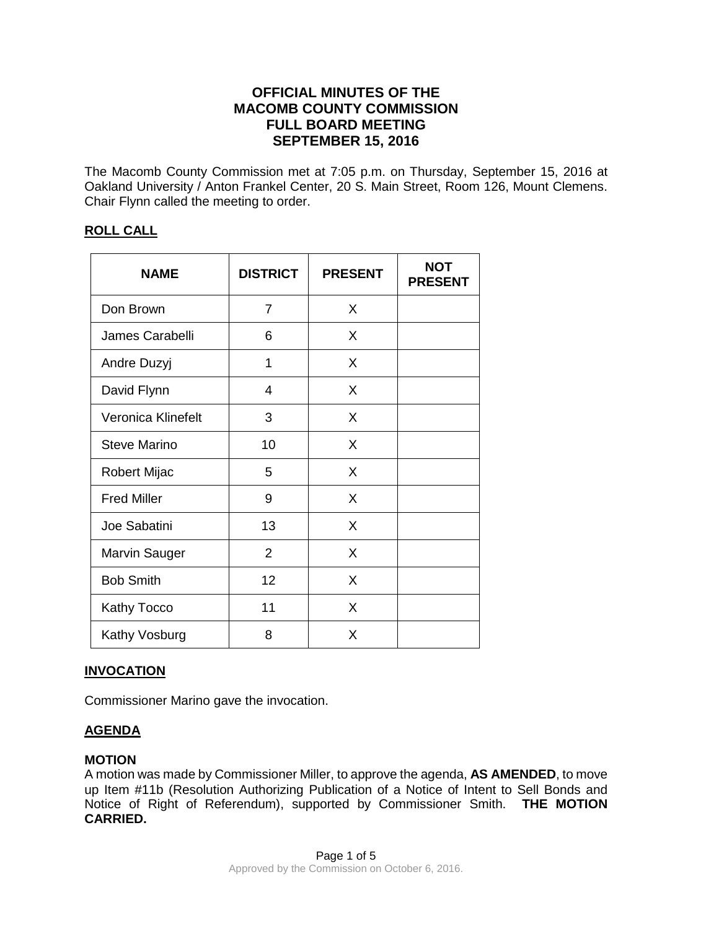# **OFFICIAL MINUTES OF THE MACOMB COUNTY COMMISSION FULL BOARD MEETING SEPTEMBER 15, 2016**

The Macomb County Commission met at 7:05 p.m. on Thursday, September 15, 2016 at Oakland University / Anton Frankel Center, 20 S. Main Street, Room 126, Mount Clemens. Chair Flynn called the meeting to order.

## **ROLL CALL**

| <b>NAME</b>          | <b>DISTRICT</b> | <b>PRESENT</b> | <b>NOT</b><br><b>PRESENT</b> |
|----------------------|-----------------|----------------|------------------------------|
| Don Brown            | $\overline{7}$  | X              |                              |
| James Carabelli      | 6               | X              |                              |
| Andre Duzyj          | 1               | X              |                              |
| David Flynn          | 4               | X              |                              |
| Veronica Klinefelt   | 3               | X              |                              |
| Steve Marino         | 10              | X              |                              |
| <b>Robert Mijac</b>  | 5               | X              |                              |
| <b>Fred Miller</b>   | 9               | X              |                              |
| Joe Sabatini         | 13              | X              |                              |
| <b>Marvin Sauger</b> | $\overline{2}$  | X              |                              |
| <b>Bob Smith</b>     | 12              | X              |                              |
| <b>Kathy Tocco</b>   | 11              | X              |                              |
| Kathy Vosburg        | 8               | X              |                              |

## **INVOCATION**

Commissioner Marino gave the invocation.

## **AGENDA**

## **MOTION**

A motion was made by Commissioner Miller, to approve the agenda, **AS AMENDED**, to move up Item #11b (Resolution Authorizing Publication of a Notice of Intent to Sell Bonds and Notice of Right of Referendum), supported by Commissioner Smith. **THE MOTION CARRIED.**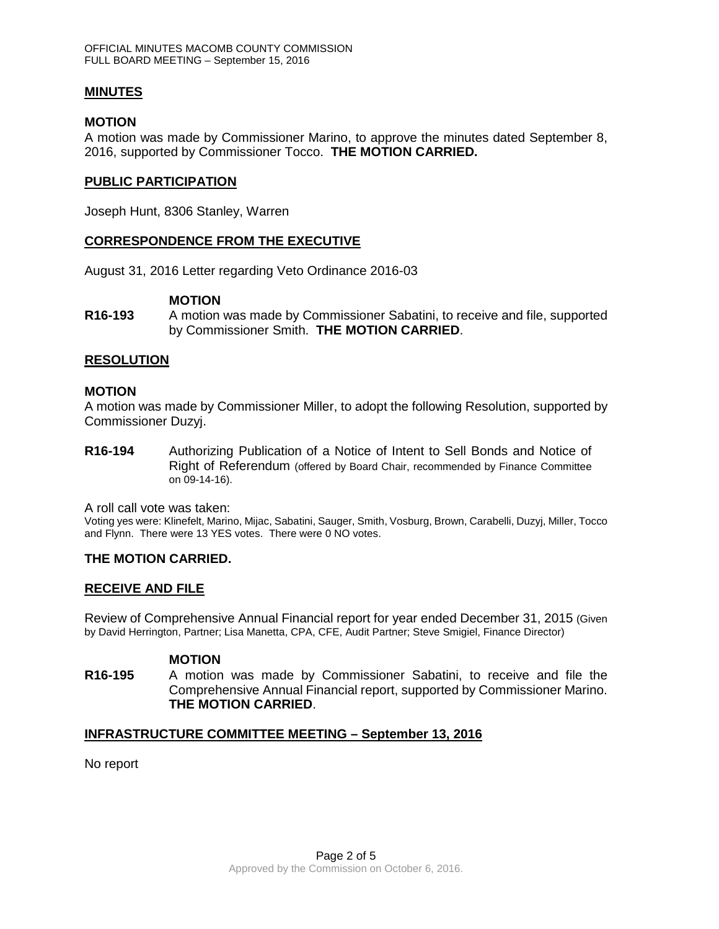### **MINUTES**

#### **MOTION**

A motion was made by Commissioner Marino, to approve the minutes dated September 8, 2016, supported by Commissioner Tocco. **THE MOTION CARRIED.** 

### **PUBLIC PARTICIPATION**

Joseph Hunt, 8306 Stanley, Warren

## **CORRESPONDENCE FROM THE EXECUTIVE**

August 31, 2016 Letter regarding Veto Ordinance 2016-03

#### **MOTION**

**R16-193** A motion was made by Commissioner Sabatini, to receive and file, supported by Commissioner Smith. **THE MOTION CARRIED**.

#### **RESOLUTION**

#### **MOTION**

A motion was made by Commissioner Miller, to adopt the following Resolution, supported by Commissioner Duzyj.

**R16-194** Authorizing Publication of a Notice of Intent to Sell Bonds and Notice of Right of Referendum (offered by Board Chair, recommended by Finance Committee on 09-14-16).

A roll call vote was taken:

Voting yes were: Klinefelt, Marino, Mijac, Sabatini, Sauger, Smith, Vosburg, Brown, Carabelli, Duzyj, Miller, Tocco and Flynn. There were 13 YES votes. There were 0 NO votes.

## **THE MOTION CARRIED.**

## **RECEIVE AND FILE**

Review of Comprehensive Annual Financial report for year ended December 31, 2015 (Given by David Herrington, Partner; Lisa Manetta, CPA, CFE, Audit Partner; Steve Smigiel, Finance Director)

#### **MOTION**

**R16-195** A motion was made by Commissioner Sabatini, to receive and file the Comprehensive Annual Financial report, supported by Commissioner Marino. **THE MOTION CARRIED**.

#### **INFRASTRUCTURE COMMITTEE MEETING – September 13, 2016**

No report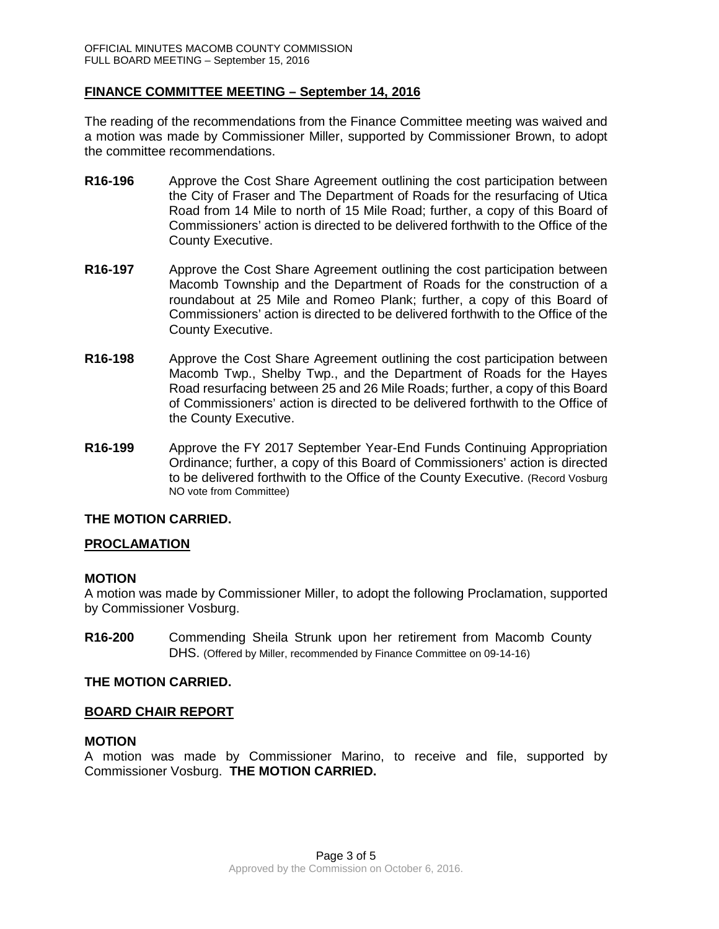### **FINANCE COMMITTEE MEETING – September 14, 2016**

The reading of the recommendations from the Finance Committee meeting was waived and a motion was made by Commissioner Miller, supported by Commissioner Brown, to adopt the committee recommendations.

- **R16-196** Approve the Cost Share Agreement outlining the cost participation between the City of Fraser and The Department of Roads for the resurfacing of Utica Road from 14 Mile to north of 15 Mile Road; further, a copy of this Board of Commissioners' action is directed to be delivered forthwith to the Office of the County Executive.
- **R16-197** Approve the Cost Share Agreement outlining the cost participation between Macomb Township and the Department of Roads for the construction of a roundabout at 25 Mile and Romeo Plank; further, a copy of this Board of Commissioners' action is directed to be delivered forthwith to the Office of the County Executive.
- **R16-198** Approve the Cost Share Agreement outlining the cost participation between Macomb Twp., Shelby Twp., and the Department of Roads for the Hayes Road resurfacing between 25 and 26 Mile Roads; further, a copy of this Board of Commissioners' action is directed to be delivered forthwith to the Office of the County Executive.
- **R16-199** Approve the FY 2017 September Year-End Funds Continuing Appropriation Ordinance; further, a copy of this Board of Commissioners' action is directed to be delivered forthwith to the Office of the County Executive. (Record Vosburg NO vote from Committee)

## **THE MOTION CARRIED.**

#### **PROCLAMATION**

#### **MOTION**

A motion was made by Commissioner Miller, to adopt the following Proclamation, supported by Commissioner Vosburg.

**R16-200** Commending Sheila Strunk upon her retirement from Macomb County DHS. (Offered by Miller, recommended by Finance Committee on 09-14-16)

#### **THE MOTION CARRIED.**

#### **BOARD CHAIR REPORT**

#### **MOTION**

A motion was made by Commissioner Marino, to receive and file, supported by Commissioner Vosburg. **THE MOTION CARRIED.**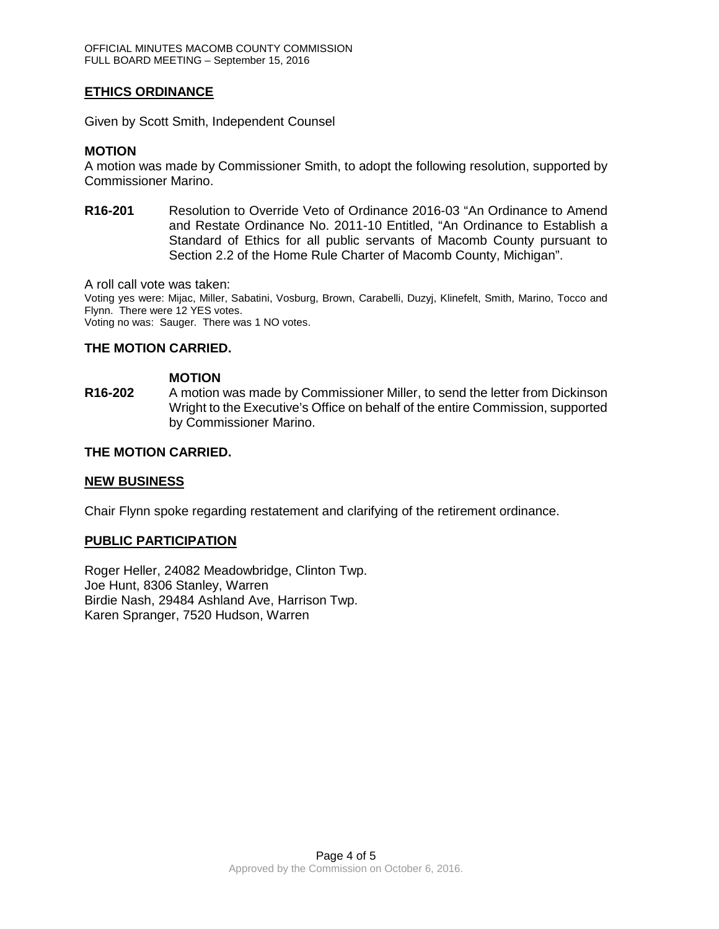## **ETHICS ORDINANCE**

Given by Scott Smith, Independent Counsel

#### **MOTION**

A motion was made by Commissioner Smith, to adopt the following resolution, supported by Commissioner Marino.

**R16-201** Resolution to Override Veto of Ordinance 2016-03 "An Ordinance to Amend and Restate Ordinance No. 2011-10 Entitled, "An Ordinance to Establish a Standard of Ethics for all public servants of Macomb County pursuant to Section 2.2 of the Home Rule Charter of Macomb County, Michigan".

A roll call vote was taken:

Voting yes were: Mijac, Miller, Sabatini, Vosburg, Brown, Carabelli, Duzyj, Klinefelt, Smith, Marino, Tocco and Flynn. There were 12 YES votes.

Voting no was: Sauger. There was 1 NO votes.

## **THE MOTION CARRIED.**

#### **MOTION**

**R16-202** A motion was made by Commissioner Miller, to send the letter from Dickinson Wright to the Executive's Office on behalf of the entire Commission, supported by Commissioner Marino.

## **THE MOTION CARRIED.**

#### **NEW BUSINESS**

Chair Flynn spoke regarding restatement and clarifying of the retirement ordinance.

#### **PUBLIC PARTICIPATION**

Roger Heller, 24082 Meadowbridge, Clinton Twp. Joe Hunt, 8306 Stanley, Warren Birdie Nash, 29484 Ashland Ave, Harrison Twp. Karen Spranger, 7520 Hudson, Warren